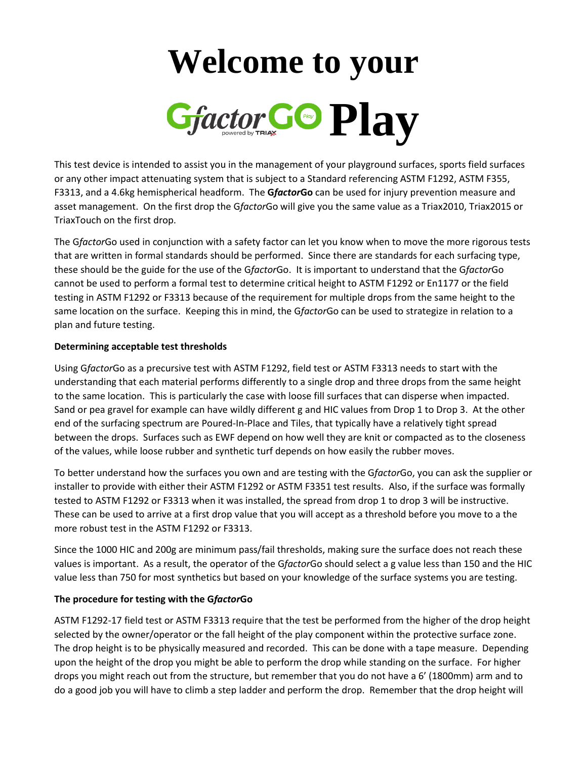## **Welcome to your** *Gfactor COPlay*

This test device is intended to assist you in the management of your playground surfaces, sports field surfaces or any other impact attenuating system that is subject to a Standard referencing ASTM F1292, ASTM F355, F3313, and a 4.6kg hemispherical headform. The **G***factor***Go** can be used for injury prevention measure and asset management. On the first drop the G*factor*Go will give you the same value as a Triax2010, Triax2015 or TriaxTouch on the first drop.

The G*factor*Go used in conjunction with a safety factor can let you know when to move the more rigorous tests that are written in formal standards should be performed. Since there are standards for each surfacing type, these should be the guide for the use of the G*factor*Go. It is important to understand that the G*factor*Go cannot be used to perform a formal test to determine critical height to ASTM F1292 or En1177 or the field testing in ASTM F1292 or F3313 because of the requirement for multiple drops from the same height to the same location on the surface. Keeping this in mind, the G*factor*Go can be used to strategize in relation to a plan and future testing.

## **Determining acceptable test thresholds**

Using G*factor*Go as a precursive test with ASTM F1292, field test or ASTM F3313 needs to start with the understanding that each material performs differently to a single drop and three drops from the same height to the same location. This is particularly the case with loose fill surfaces that can disperse when impacted. Sand or pea gravel for example can have wildly different g and HIC values from Drop 1 to Drop 3. At the other end of the surfacing spectrum are Poured-In-Place and Tiles, that typically have a relatively tight spread between the drops. Surfaces such as EWF depend on how well they are knit or compacted as to the closeness of the values, while loose rubber and synthetic turf depends on how easily the rubber moves.

To better understand how the surfaces you own and are testing with the G*factor*Go, you can ask the supplier or installer to provide with either their ASTM F1292 or ASTM F3351 test results. Also, if the surface was formally tested to ASTM F1292 or F3313 when it was installed, the spread from drop 1 to drop 3 will be instructive. These can be used to arrive at a first drop value that you will accept as a threshold before you move to a the more robust test in the ASTM F1292 or F3313.

Since the 1000 HIC and 200g are minimum pass/fail thresholds, making sure the surface does not reach these values is important. As a result, the operator of the G*factor*Go should select a g value less than 150 and the HIC value less than 750 for most synthetics but based on your knowledge of the surface systems you are testing.

## **The procedure for testing with the G***factor***Go**

ASTM F1292-17 field test or ASTM F3313 require that the test be performed from the higher of the drop height selected by the owner/operator or the fall height of the play component within the protective surface zone. The drop height is to be physically measured and recorded. This can be done with a tape measure. Depending upon the height of the drop you might be able to perform the drop while standing on the surface. For higher drops you might reach out from the structure, but remember that you do not have a 6' (1800mm) arm and to do a good job you will have to climb a step ladder and perform the drop. Remember that the drop height will